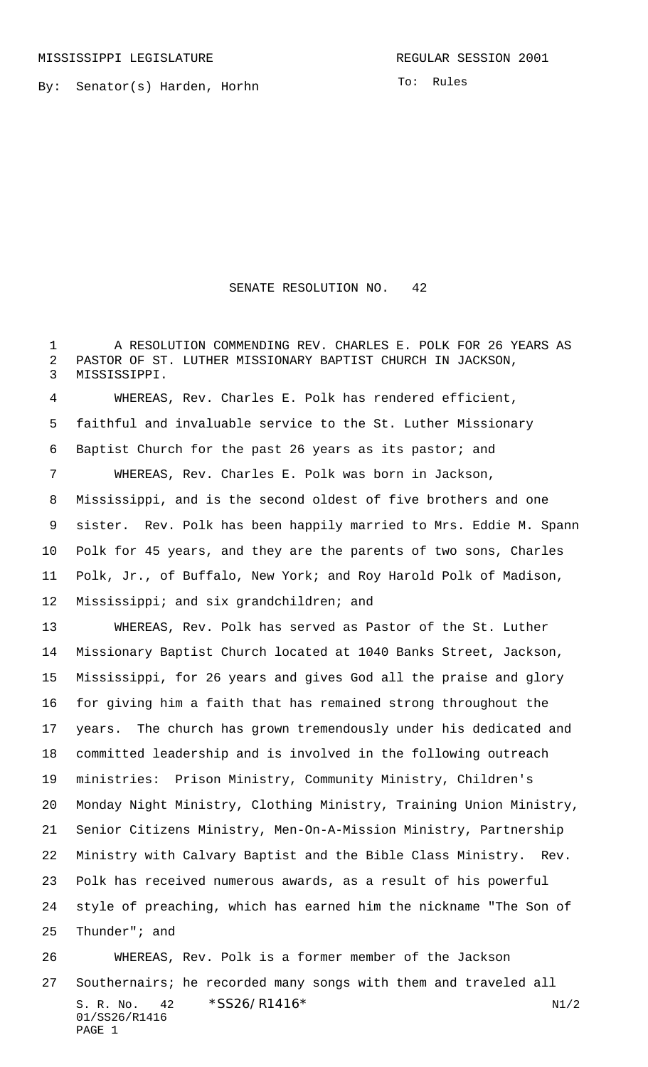By: Senator(s) Harden, Horhn

SENATE RESOLUTION NO. 42

 A RESOLUTION COMMENDING REV. CHARLES E. POLK FOR 26 YEARS AS PASTOR OF ST. LUTHER MISSIONARY BAPTIST CHURCH IN JACKSON, MISSISSIPPI.

 WHEREAS, Rev. Charles E. Polk has rendered efficient, faithful and invaluable service to the St. Luther Missionary Baptist Church for the past 26 years as its pastor; and WHEREAS, Rev. Charles E. Polk was born in Jackson, Mississippi, and is the second oldest of five brothers and one sister. Rev. Polk has been happily married to Mrs. Eddie M. Spann Polk for 45 years, and they are the parents of two sons, Charles Polk, Jr., of Buffalo, New York; and Roy Harold Polk of Madison, Mississippi; and six grandchildren; and

 WHEREAS, Rev. Polk has served as Pastor of the St. Luther Missionary Baptist Church located at 1040 Banks Street, Jackson, Mississippi, for 26 years and gives God all the praise and glory for giving him a faith that has remained strong throughout the years. The church has grown tremendously under his dedicated and committed leadership and is involved in the following outreach ministries: Prison Ministry, Community Ministry, Children's Monday Night Ministry, Clothing Ministry, Training Union Ministry, Senior Citizens Ministry, Men-On-A-Mission Ministry, Partnership Ministry with Calvary Baptist and the Bible Class Ministry. Rev. Polk has received numerous awards, as a result of his powerful style of preaching, which has earned him the nickname "The Son of Thunder"; and WHEREAS, Rev. Polk is a former member of the Jackson

S. R. No.  $42 \times S}526/R1416*$  N1/2 01/SS26/R1416 PAGE 1 Southernairs; he recorded many songs with them and traveled all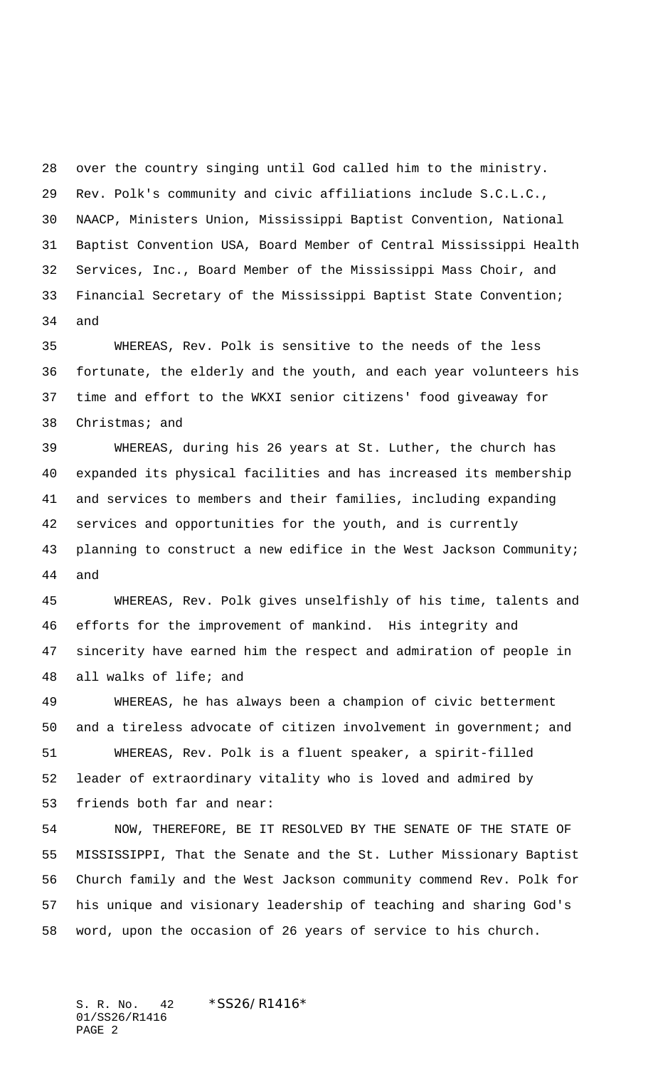over the country singing until God called him to the ministry. Rev. Polk's community and civic affiliations include S.C.L.C., NAACP, Ministers Union, Mississippi Baptist Convention, National Baptist Convention USA, Board Member of Central Mississippi Health Services, Inc., Board Member of the Mississippi Mass Choir, and Financial Secretary of the Mississippi Baptist State Convention; and

 WHEREAS, Rev. Polk is sensitive to the needs of the less fortunate, the elderly and the youth, and each year volunteers his time and effort to the WKXI senior citizens' food giveaway for Christmas; and

 WHEREAS, during his 26 years at St. Luther, the church has expanded its physical facilities and has increased its membership and services to members and their families, including expanding services and opportunities for the youth, and is currently planning to construct a new edifice in the West Jackson Community; and

 WHEREAS, Rev. Polk gives unselfishly of his time, talents and efforts for the improvement of mankind. His integrity and sincerity have earned him the respect and admiration of people in all walks of life; and

 WHEREAS, he has always been a champion of civic betterment and a tireless advocate of citizen involvement in government; and WHEREAS, Rev. Polk is a fluent speaker, a spirit-filled leader of extraordinary vitality who is loved and admired by friends both far and near:

 NOW, THEREFORE, BE IT RESOLVED BY THE SENATE OF THE STATE OF MISSISSIPPI, That the Senate and the St. Luther Missionary Baptist Church family and the West Jackson community commend Rev. Polk for his unique and visionary leadership of teaching and sharing God's word, upon the occasion of 26 years of service to his church.

S. R. No. 42 \* SS26/R1416\* 01/SS26/R1416 PAGE 2